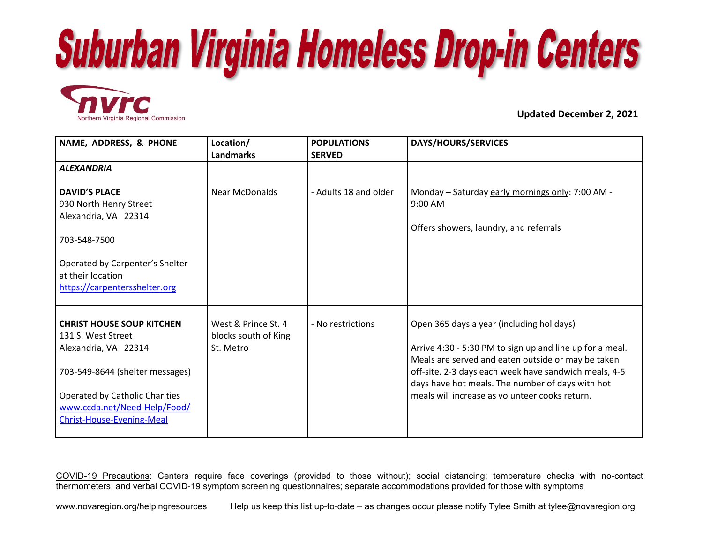



**Updated December 2, 2021**

| NAME, ADDRESS, & PHONE                                                                                                                                                                                                         | Location/<br><b>Landmarks</b>                            | <b>POPULATIONS</b><br><b>SERVED</b> | <b>DAYS/HOURS/SERVICES</b>                                                                                                                                                                                                                                                                                                 |
|--------------------------------------------------------------------------------------------------------------------------------------------------------------------------------------------------------------------------------|----------------------------------------------------------|-------------------------------------|----------------------------------------------------------------------------------------------------------------------------------------------------------------------------------------------------------------------------------------------------------------------------------------------------------------------------|
| <b>ALEXANDRIA</b>                                                                                                                                                                                                              |                                                          |                                     |                                                                                                                                                                                                                                                                                                                            |
| <b>DAVID'S PLACE</b><br>930 North Henry Street<br>Alexandria, VA 22314<br>703-548-7500                                                                                                                                         | <b>Near McDonalds</b>                                    | - Adults 18 and older               | Monday - Saturday early mornings only: 7:00 AM -<br>9:00 AM<br>Offers showers, laundry, and referrals                                                                                                                                                                                                                      |
| Operated by Carpenter's Shelter<br>at their location<br>https://carpentersshelter.org                                                                                                                                          |                                                          |                                     |                                                                                                                                                                                                                                                                                                                            |
| <b>CHRIST HOUSE SOUP KITCHEN</b><br>131 S. West Street<br>Alexandria, VA 22314<br>703-549-8644 (shelter messages)<br><b>Operated by Catholic Charities</b><br>www.ccda.net/Need-Help/Food/<br><b>Christ-House-Evening-Meal</b> | West & Prince St. 4<br>blocks south of King<br>St. Metro | - No restrictions                   | Open 365 days a year (including holidays)<br>Arrive 4:30 - 5:30 PM to sign up and line up for a meal.<br>Meals are served and eaten outside or may be taken<br>off-site. 2-3 days each week have sandwich meals, 4-5<br>days have hot meals. The number of days with hot<br>meals will increase as volunteer cooks return. |

COVID-19 Precautions: Centers require face coverings (provided to those without); social distancing; temperature checks with no-contact thermometers; and verbal COVID-19 symptom screening questionnaires; separate accommodations provided for those with symptoms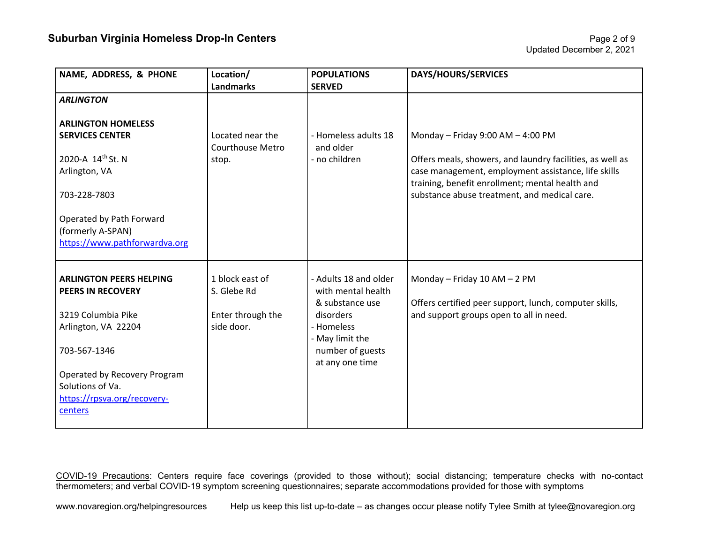| Location/               | <b>POPULATIONS</b>    | DAYS/HOURS/SERVICES                                       |
|-------------------------|-----------------------|-----------------------------------------------------------|
|                         |                       |                                                           |
|                         |                       |                                                           |
|                         |                       |                                                           |
| Located near the        | - Homeless adults 18  | Monday - Friday 9:00 AM $-$ 4:00 PM                       |
| <b>Courthouse Metro</b> | and older             |                                                           |
| stop.                   | - no children         | Offers meals, showers, and laundry facilities, as well as |
|                         |                       | case management, employment assistance, life skills       |
|                         |                       | training, benefit enrollment; mental health and           |
|                         |                       | substance abuse treatment, and medical care.              |
|                         |                       |                                                           |
|                         |                       |                                                           |
|                         |                       |                                                           |
|                         |                       |                                                           |
|                         |                       |                                                           |
| 1 block east of         | - Adults 18 and older | Monday - Friday 10 AM - 2 PM                              |
| S. Glebe Rd             | with mental health    |                                                           |
|                         | & substance use       | Offers certified peer support, lunch, computer skills,    |
| Enter through the       | disorders             | and support groups open to all in need.                   |
| side door.              | - Homeless            |                                                           |
|                         | - May limit the       |                                                           |
|                         |                       |                                                           |
|                         |                       |                                                           |
|                         |                       |                                                           |
|                         |                       |                                                           |
|                         |                       |                                                           |
|                         |                       |                                                           |
|                         | <b>Landmarks</b>      | <b>SERVED</b><br>number of guests<br>at any one time      |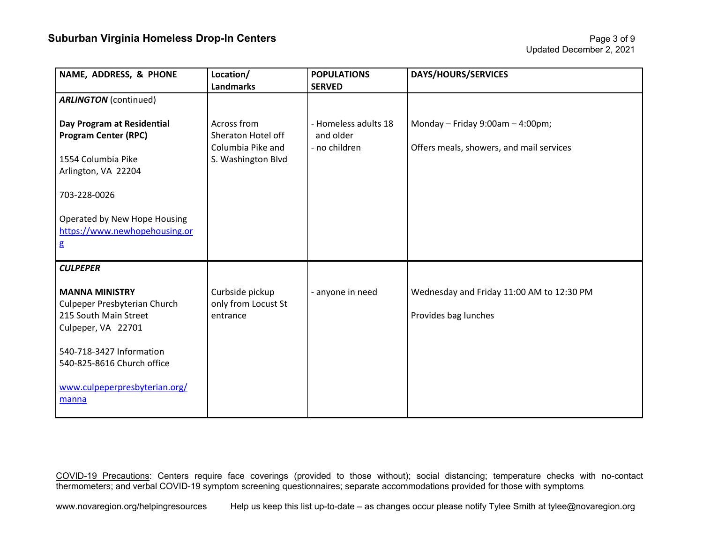| NAME, ADDRESS, & PHONE                                                                                                 | Location/<br><b>Landmarks</b>                                                | <b>POPULATIONS</b><br><b>SERVED</b>                | <b>DAYS/HOURS/SERVICES</b>                                                      |
|------------------------------------------------------------------------------------------------------------------------|------------------------------------------------------------------------------|----------------------------------------------------|---------------------------------------------------------------------------------|
| <b>ARLINGTON</b> (continued)                                                                                           |                                                                              |                                                    |                                                                                 |
| Day Program at Residential<br><b>Program Center (RPC)</b><br>1554 Columbia Pike<br>Arlington, VA 22204<br>703-228-0026 | Across from<br>Sheraton Hotel off<br>Columbia Pike and<br>S. Washington Blvd | - Homeless adults 18<br>and older<br>- no children | Monday - Friday $9:00$ am - 4:00pm;<br>Offers meals, showers, and mail services |
| Operated by New Hope Housing<br>https://www.newhopehousing.or<br>g                                                     |                                                                              |                                                    |                                                                                 |
| <b>CULPEPER</b>                                                                                                        |                                                                              |                                                    |                                                                                 |
| <b>MANNA MINISTRY</b><br>Culpeper Presbyterian Church<br>215 South Main Street<br>Culpeper, VA 22701                   | Curbside pickup<br>only from Locust St<br>entrance                           | - anyone in need                                   | Wednesday and Friday 11:00 AM to 12:30 PM<br>Provides bag lunches               |
| 540-718-3427 Information<br>540-825-8616 Church office                                                                 |                                                                              |                                                    |                                                                                 |
| www.culpeperpresbyterian.org/<br>manna                                                                                 |                                                                              |                                                    |                                                                                 |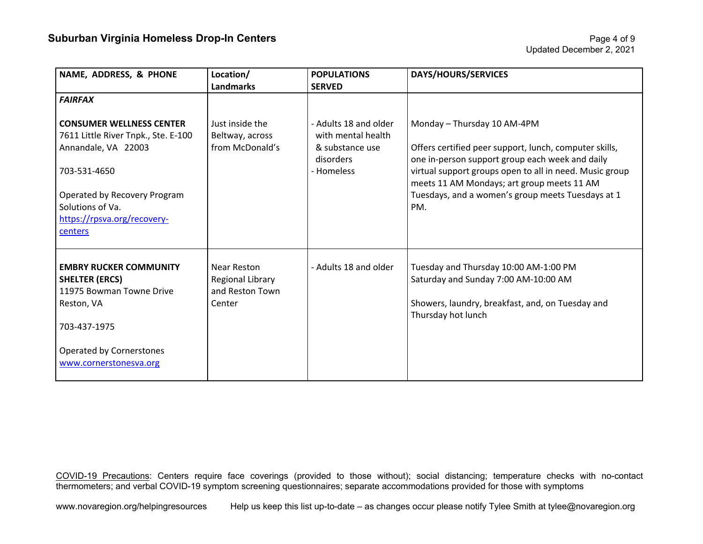| NAME, ADDRESS, & PHONE                                                                                           | Location/<br><b>Landmarks</b>                                | <b>POPULATIONS</b><br><b>SERVED</b>                                                       | <b>DAYS/HOURS/SERVICES</b>                                                                                                                                                                                                                        |
|------------------------------------------------------------------------------------------------------------------|--------------------------------------------------------------|-------------------------------------------------------------------------------------------|---------------------------------------------------------------------------------------------------------------------------------------------------------------------------------------------------------------------------------------------------|
| <b>FAIRFAX</b>                                                                                                   |                                                              |                                                                                           |                                                                                                                                                                                                                                                   |
| <b>CONSUMER WELLNESS CENTER</b><br>7611 Little River Tnpk., Ste. E-100<br>Annandale, VA 22003<br>703-531-4650    | Just inside the<br>Beltway, across<br>from McDonald's        | - Adults 18 and older<br>with mental health<br>& substance use<br>disorders<br>- Homeless | Monday - Thursday 10 AM-4PM<br>Offers certified peer support, lunch, computer skills,<br>one in-person support group each week and daily<br>virtual support groups open to all in need. Music group<br>meets 11 AM Mondays; art group meets 11 AM |
| Operated by Recovery Program<br>Solutions of Va.<br>https://rpsva.org/recovery-<br>centers                       |                                                              |                                                                                           | Tuesdays, and a women's group meets Tuesdays at 1<br>PM.                                                                                                                                                                                          |
| <b>EMBRY RUCKER COMMUNITY</b><br><b>SHELTER (ERCS)</b><br>11975 Bowman Towne Drive<br>Reston, VA<br>703-437-1975 | Near Reston<br>Regional Library<br>and Reston Town<br>Center | - Adults 18 and older                                                                     | Tuesday and Thursday 10:00 AM-1:00 PM<br>Saturday and Sunday 7:00 AM-10:00 AM<br>Showers, laundry, breakfast, and, on Tuesday and<br>Thursday hot lunch                                                                                           |
| Operated by Cornerstones<br>www.cornerstonesva.org                                                               |                                                              |                                                                                           |                                                                                                                                                                                                                                                   |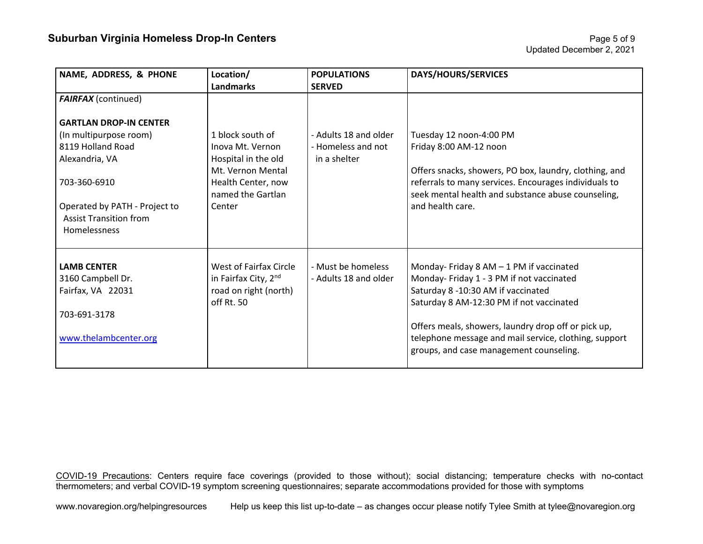| NAME, ADDRESS, & PHONE        | Location/              | <b>POPULATIONS</b>    | <b>DAYS/HOURS/SERVICES</b>                             |
|-------------------------------|------------------------|-----------------------|--------------------------------------------------------|
|                               | <b>Landmarks</b>       | <b>SERVED</b>         |                                                        |
| <b>FAIRFAX</b> (continued)    |                        |                       |                                                        |
|                               |                        |                       |                                                        |
| <b>GARTLAN DROP-IN CENTER</b> |                        |                       |                                                        |
| (In multipurpose room)        | 1 block south of       | - Adults 18 and older | Tuesday 12 noon-4:00 PM                                |
| 8119 Holland Road             | Inova Mt. Vernon       | - Homeless and not    | Friday 8:00 AM-12 noon                                 |
| Alexandria, VA                | Hospital in the old    | in a shelter          |                                                        |
|                               | Mt. Vernon Mental      |                       | Offers snacks, showers, PO box, laundry, clothing, and |
| 703-360-6910                  | Health Center, now     |                       | referrals to many services. Encourages individuals to  |
|                               | named the Gartlan      |                       | seek mental health and substance abuse counseling,     |
| Operated by PATH - Project to | Center                 |                       | and health care.                                       |
| <b>Assist Transition from</b> |                        |                       |                                                        |
| <b>Homelessness</b>           |                        |                       |                                                        |
|                               |                        |                       |                                                        |
|                               |                        |                       |                                                        |
| <b>LAMB CENTER</b>            | West of Fairfax Circle | - Must be homeless    | Monday-Friday 8 AM - 1 PM if vaccinated                |
| 3160 Campbell Dr.             | in Fairfax City, 2nd   | - Adults 18 and older | Monday- Friday 1 - 3 PM if not vaccinated              |
| Fairfax, VA 22031             | road on right (north)  |                       | Saturday 8 -10:30 AM if vaccinated                     |
|                               | off Rt. 50             |                       | Saturday 8 AM-12:30 PM if not vaccinated               |
| 703-691-3178                  |                        |                       |                                                        |
|                               |                        |                       | Offers meals, showers, laundry drop off or pick up,    |
| www.thelambcenter.org         |                        |                       | telephone message and mail service, clothing, support  |
|                               |                        |                       | groups, and case management counseling.                |
|                               |                        |                       |                                                        |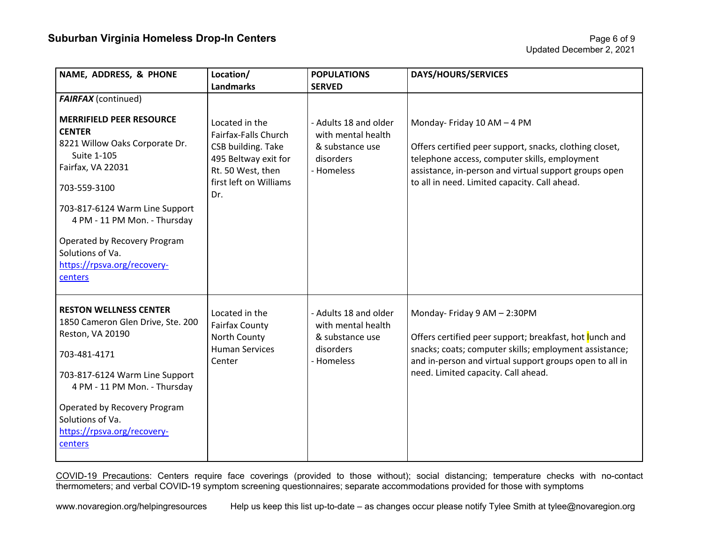| NAME, ADDRESS, & PHONE                                                                                                                                                                                                                                                                                 | Location/<br><b>Landmarks</b>                                                                                                              | <b>POPULATIONS</b><br><b>SERVED</b>                                                       | <b>DAYS/HOURS/SERVICES</b>                                                                                                                                                                                                                          |
|--------------------------------------------------------------------------------------------------------------------------------------------------------------------------------------------------------------------------------------------------------------------------------------------------------|--------------------------------------------------------------------------------------------------------------------------------------------|-------------------------------------------------------------------------------------------|-----------------------------------------------------------------------------------------------------------------------------------------------------------------------------------------------------------------------------------------------------|
| <b>FAIRFAX</b> (continued)                                                                                                                                                                                                                                                                             |                                                                                                                                            |                                                                                           |                                                                                                                                                                                                                                                     |
|                                                                                                                                                                                                                                                                                                        |                                                                                                                                            |                                                                                           |                                                                                                                                                                                                                                                     |
| <b>MERRIFIELD PEER RESOURCE</b><br><b>CENTER</b><br>8221 Willow Oaks Corporate Dr.<br>Suite 1-105<br>Fairfax, VA 22031<br>703-559-3100<br>703-817-6124 Warm Line Support<br>4 PM - 11 PM Mon. - Thursday<br>Operated by Recovery Program<br>Solutions of Va.<br>https://rpsva.org/recovery-<br>centers | Located in the<br>Fairfax-Falls Church<br>CSB building. Take<br>495 Beltway exit for<br>Rt. 50 West, then<br>first left on Williams<br>Dr. | - Adults 18 and older<br>with mental health<br>& substance use<br>disorders<br>- Homeless | Monday-Friday 10 AM - 4 PM<br>Offers certified peer support, snacks, clothing closet,<br>telephone access, computer skills, employment<br>assistance, in-person and virtual support groups open<br>to all in need. Limited capacity. Call ahead.    |
| <b>RESTON WELLNESS CENTER</b><br>1850 Cameron Glen Drive, Ste. 200<br>Reston, VA 20190<br>703-481-4171<br>703-817-6124 Warm Line Support<br>4 PM - 11 PM Mon. - Thursday<br>Operated by Recovery Program<br>Solutions of Va.<br>https://rpsva.org/recovery-<br>centers                                 | Located in the<br><b>Fairfax County</b><br>North County<br><b>Human Services</b><br>Center                                                 | - Adults 18 and older<br>with mental health<br>& substance use<br>disorders<br>- Homeless | Monday- Friday 9 AM - 2:30PM<br>Offers certified peer support; breakfast, hot lunch and<br>snacks; coats; computer skills; employment assistance;<br>and in-person and virtual support groups open to all in<br>need. Limited capacity. Call ahead. |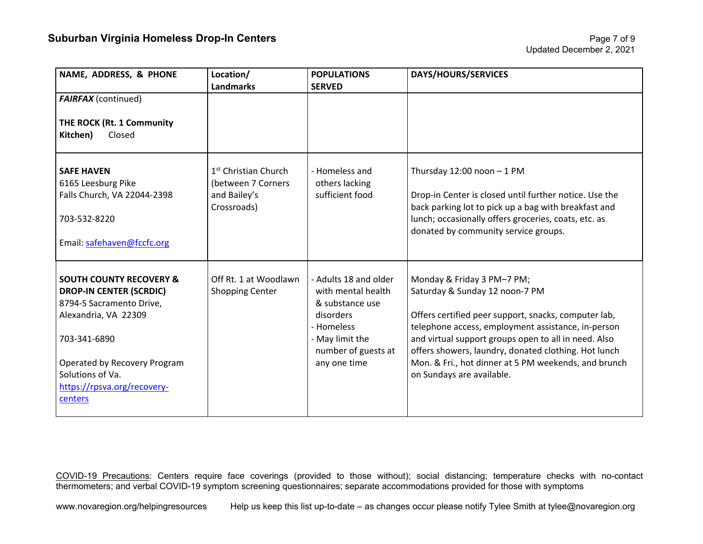| NAME, ADDRESS, & PHONE                                                                                                                                                                                                                 | Location/<br><b>Landmarks</b>                                                         | <b>POPULATIONS</b><br><b>SERVED</b>                                                                                                                 | <b>DAYS/HOURS/SERVICES</b>                                                                                                                                                                                                                                                                                                                                                      |
|----------------------------------------------------------------------------------------------------------------------------------------------------------------------------------------------------------------------------------------|---------------------------------------------------------------------------------------|-----------------------------------------------------------------------------------------------------------------------------------------------------|---------------------------------------------------------------------------------------------------------------------------------------------------------------------------------------------------------------------------------------------------------------------------------------------------------------------------------------------------------------------------------|
| <b>FAIRFAX</b> (continued)                                                                                                                                                                                                             |                                                                                       |                                                                                                                                                     |                                                                                                                                                                                                                                                                                                                                                                                 |
| THE ROCK (Rt. 1 Community<br>Closed<br>Kitchen)                                                                                                                                                                                        |                                                                                       |                                                                                                                                                     |                                                                                                                                                                                                                                                                                                                                                                                 |
| <b>SAFE HAVEN</b><br>6165 Leesburg Pike<br>Falls Church, VA 22044-2398<br>703-532-8220<br>Email: safehaven@fccfc.org                                                                                                                   | 1 <sup>st</sup> Christian Church<br>(between 7 Corners<br>and Bailey's<br>Crossroads) | - Homeless and<br>others lacking<br>sufficient food                                                                                                 | Thursday $12:00$ noon $-1$ PM<br>Drop-in Center is closed until further notice. Use the<br>back parking lot to pick up a bag with breakfast and<br>lunch; occasionally offers groceries, coats, etc. as<br>donated by community service groups.                                                                                                                                 |
| <b>SOUTH COUNTY RECOVERY &amp;</b><br><b>DROP-IN CENTER (SCRDIC)</b><br>8794-S Sacramento Drive,<br>Alexandria, VA 22309<br>703-341-6890<br>Operated by Recovery Program<br>Solutions of Va.<br>https://rpsva.org/recovery-<br>centers | Off Rt. 1 at Woodlawn<br><b>Shopping Center</b>                                       | - Adults 18 and older<br>with mental health<br>& substance use<br>disorders<br>- Homeless<br>- May limit the<br>number of guests at<br>any one time | Monday & Friday 3 PM-7 PM;<br>Saturday & Sunday 12 noon-7 PM<br>Offers certified peer support, snacks, computer lab,<br>telephone access, employment assistance, in-person<br>and virtual support groups open to all in need. Also<br>offers showers, laundry, donated clothing. Hot lunch<br>Mon. & Fri., hot dinner at 5 PM weekends, and brunch<br>on Sundays are available. |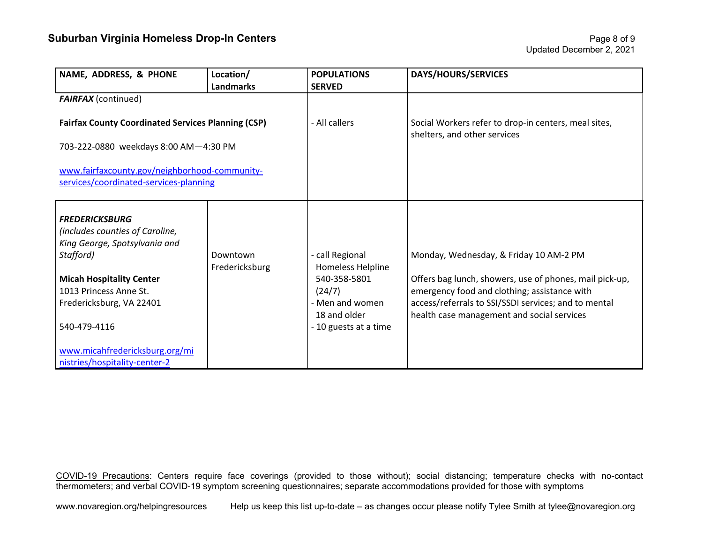## **Suburban Virginia Homeless Drop-In Centers Page 8 of 9 and 2011 12:30 Page 8 of 9 and 2012**

| NAME, ADDRESS, & PHONE                                                                                                                                                                          | Location/<br><b>Landmarks</b> | <b>POPULATIONS</b><br><b>SERVED</b>                                               | <b>DAYS/HOURS/SERVICES</b>                                                                                                                                                                                |
|-------------------------------------------------------------------------------------------------------------------------------------------------------------------------------------------------|-------------------------------|-----------------------------------------------------------------------------------|-----------------------------------------------------------------------------------------------------------------------------------------------------------------------------------------------------------|
| <b>FAIRFAX</b> (continued)                                                                                                                                                                      |                               |                                                                                   |                                                                                                                                                                                                           |
| <b>Fairfax County Coordinated Services Planning (CSP)</b>                                                                                                                                       |                               | - All callers                                                                     | Social Workers refer to drop-in centers, meal sites,<br>shelters, and other services                                                                                                                      |
| 703-222-0880 weekdays 8:00 AM-4:30 PM                                                                                                                                                           |                               |                                                                                   |                                                                                                                                                                                                           |
| www.fairfaxcounty.gov/neighborhood-community-<br>services/coordinated-services-planning                                                                                                         |                               |                                                                                   |                                                                                                                                                                                                           |
| <b>FREDERICKSBURG</b><br>(includes counties of Caroline,<br>King George, Spotsylvania and<br>Stafford)<br><b>Micah Hospitality Center</b><br>1013 Princess Anne St.<br>Fredericksburg, VA 22401 | Downtown<br>Fredericksburg    | - call Regional<br>Homeless Helpline<br>540-358-5801<br>(24/7)<br>- Men and women | Monday, Wednesday, & Friday 10 AM-2 PM<br>Offers bag lunch, showers, use of phones, mail pick-up,<br>emergency food and clothing; assistance with<br>access/referrals to SSI/SSDI services; and to mental |
| 540-479-4116                                                                                                                                                                                    |                               | 18 and older<br>- 10 guests at a time                                             | health case management and social services                                                                                                                                                                |
| www.micahfredericksburg.org/mi<br>nistries/hospitality-center-2                                                                                                                                 |                               |                                                                                   |                                                                                                                                                                                                           |

COVID-19 Precautions: Centers require face coverings (provided to those without); social distancing; temperature checks with no-contact thermometers; and verbal COVID-19 symptom screening questionnaires; separate accommodations provided for those with symptoms